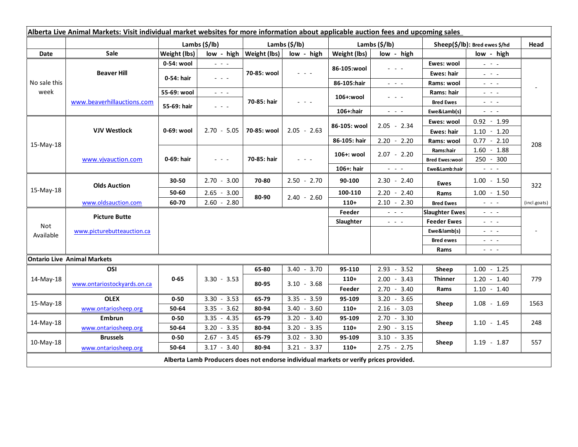| Alberta Live Animal Markets: Visit individual market websites for more information about applicable auction fees and upcoming sales |                                    |               |                                                                                                                           |                |                                            |               |                                                                                                                           |                               |                                                                                                                           |                |
|-------------------------------------------------------------------------------------------------------------------------------------|------------------------------------|---------------|---------------------------------------------------------------------------------------------------------------------------|----------------|--------------------------------------------|---------------|---------------------------------------------------------------------------------------------------------------------------|-------------------------------|---------------------------------------------------------------------------------------------------------------------------|----------------|
|                                                                                                                                     |                                    | Lambs (\$/lb) |                                                                                                                           | Lambs (\$/lb)  |                                            | Lambs (\$/lb) |                                                                                                                           | Sheep(\$/lb): Bred ewes \$/hd |                                                                                                                           | Head           |
| Date                                                                                                                                | <b>Sale</b>                        | Weight (lbs)  | low - high                                                                                                                | Weight (lbs)   | low - high                                 | Weight (lbs)  | low - high                                                                                                                | low - high                    |                                                                                                                           |                |
| No sale this<br>week                                                                                                                | <b>Beaver Hill</b>                 | 0-54: wool    | $\mathbb{Z}^2$ and $\mathbb{Z}^2$                                                                                         | 70-85: wool    | $  -$                                      | 86-105:wool   | $\frac{1}{2} \left( \frac{1}{2} \right) \left( \frac{1}{2} \right) \left( \frac{1}{2} \right) \left( \frac{1}{2} \right)$ | Ewes: wool                    | $\omega_{\rm c}$ , $\omega_{\rm c}$                                                                                       |                |
|                                                                                                                                     |                                    | 0-54: hair    | $\frac{1}{2} \left( \frac{1}{2} \right) \left( \frac{1}{2} \right) \left( \frac{1}{2} \right) \left( \frac{1}{2} \right)$ |                |                                            |               |                                                                                                                           | Ewes: hair                    | $\omega_{\rm c}$ , $\omega_{\rm c}$ , $\omega_{\rm c}$                                                                    |                |
|                                                                                                                                     |                                    |               |                                                                                                                           |                |                                            | 86-105:hair   | $\frac{1}{2} \left( \frac{1}{2} \right) \left( \frac{1}{2} \right) \left( \frac{1}{2} \right) \left( \frac{1}{2} \right)$ | Rams: wool                    | $\frac{1}{2} \left( \frac{1}{2} \right) \left( \frac{1}{2} \right) \left( \frac{1}{2} \right) \left( \frac{1}{2} \right)$ |                |
|                                                                                                                                     | www.beaverhillauctions.com         | 55-69: wool   | $\omega_{\rm c}$ , $\omega_{\rm c}$ , $\omega_{\rm c}$                                                                    | 70-85: hair    | $\mathbf{L} = \mathbf{L} \cdot \mathbf{L}$ | 106+:wool     | - - -                                                                                                                     | Rams: hair                    | $  -$                                                                                                                     |                |
|                                                                                                                                     |                                    | 55-69: hair   | $  -$                                                                                                                     |                |                                            |               |                                                                                                                           | <b>Bred Ewes</b>              | $\frac{1}{2} \left( \frac{1}{2} \right) \left( \frac{1}{2} \right) \left( \frac{1}{2} \right) \left( \frac{1}{2} \right)$ |                |
|                                                                                                                                     |                                    |               |                                                                                                                           |                |                                            | 106+:hair     | $\frac{1}{2} \left( \frac{1}{2} \right) \left( \frac{1}{2} \right) \left( \frac{1}{2} \right) \left( \frac{1}{2} \right)$ | Ewe&Lamb(s)                   | $\frac{1}{2} \left( \frac{1}{2} \right) \left( \frac{1}{2} \right) \left( \frac{1}{2} \right) \left( \frac{1}{2} \right)$ |                |
| 15-May-18                                                                                                                           | <b>VJV Westlock</b>                | $0-69:$ wool  | $2.70 - 5.05$                                                                                                             | 70-85: wool    | $2.05 - 2.63$                              | 86-105: wool  | $2.05 - 2.34$                                                                                                             | Ewes: wool                    | $0.92 - 1.99$                                                                                                             | 208            |
|                                                                                                                                     |                                    |               |                                                                                                                           |                |                                            |               |                                                                                                                           | <b>Ewes: hair</b>             | $1.10 - 1.20$                                                                                                             |                |
|                                                                                                                                     |                                    |               |                                                                                                                           |                |                                            | 86-105: hair  | $2.20 - 2.20$                                                                                                             | Rams: wool                    | $0.77 - 2.10$                                                                                                             |                |
|                                                                                                                                     | www.vjvauction.com                 | 0-69: hair    | $\omega_{\rm c}$ , $\omega_{\rm c}$ , $\omega_{\rm c}$                                                                    | 70-85: hair    | $  -$                                      | 106+: wool    | $2.07 - 2.20$                                                                                                             | Rams:hair                     | $1.60 - 1.88$                                                                                                             |                |
|                                                                                                                                     |                                    |               |                                                                                                                           |                |                                            |               |                                                                                                                           | <b>Bred Ewes:wool</b>         | 250 - 300                                                                                                                 |                |
|                                                                                                                                     |                                    |               |                                                                                                                           |                |                                            | 106+: hair    | $\omega_{\rm{max}}$ and $\omega_{\rm{max}}$                                                                               | Ewe&Lamb:hair                 | $\frac{1}{2} \left( \frac{1}{2} \right) \left( \frac{1}{2} \right) \left( \frac{1}{2} \right) \left( \frac{1}{2} \right)$ |                |
| 15-May-18                                                                                                                           | <b>Olds Auction</b>                | 30-50         | $2.70 - 3.00$                                                                                                             | 70-80          | $2.50 - 2.70$                              | 90-100        | $2.30 - 2.40$                                                                                                             | Ewes                          | $1.00 - 1.50$                                                                                                             | 322            |
|                                                                                                                                     |                                    | 50-60         | $2.65 - 3.00$                                                                                                             | 80-90          | $2.40 - 2.60$                              | 100-110       | $2.20 - 2.40$                                                                                                             | Rams                          | $1.00 - 1.50$                                                                                                             |                |
|                                                                                                                                     | www.oldsauction.com                | 60-70         | $2.60 - 2.80$                                                                                                             |                |                                            | $110+$        | $2.10 - 2.30$                                                                                                             | <b>Bred Ewes</b>              | $\omega_{\rm{c}}$ and $\omega_{\rm{c}}$                                                                                   | (incl.goats)   |
| <b>Not</b><br>Available                                                                                                             | <b>Picture Butte</b>               |               |                                                                                                                           |                |                                            | Feeder        | $\frac{1}{2} \left( \frac{1}{2} \right) \left( \frac{1}{2} \right) \left( \frac{1}{2} \right)$                            | <b>Slaughter Ewes</b>         | $\frac{1}{2} \left( \frac{1}{2} \right) \left( \frac{1}{2} \right) \left( \frac{1}{2} \right) \left( \frac{1}{2} \right)$ |                |
|                                                                                                                                     | www.picturebutteauction.ca         |               |                                                                                                                           |                |                                            | Slaughter     | $\frac{1}{2} \left( \frac{1}{2} \right) \left( \frac{1}{2} \right) \left( \frac{1}{2} \right) \left( \frac{1}{2} \right)$ | <b>Feeder Ewes</b>            | $\frac{1}{2} \left( \frac{1}{2} \right) \left( \frac{1}{2} \right) \left( \frac{1}{2} \right) \left( \frac{1}{2} \right)$ | $\blacksquare$ |
|                                                                                                                                     |                                    |               |                                                                                                                           |                |                                            |               |                                                                                                                           | Ewe&lamb(s)                   | $\frac{1}{2} \left( \frac{1}{2} \right) = \frac{1}{2} \left( \frac{1}{2} \right)$                                         |                |
|                                                                                                                                     |                                    |               |                                                                                                                           |                |                                            |               |                                                                                                                           | <b>Bred ewes</b>              | $  -$                                                                                                                     |                |
|                                                                                                                                     |                                    |               |                                                                                                                           |                |                                            |               |                                                                                                                           | Rams                          | $\frac{1}{2} \left( \frac{1}{2} \right) \frac{1}{2} \left( \frac{1}{2} \right) \frac{1}{2} \left( \frac{1}{2} \right)$    |                |
|                                                                                                                                     | <b>Ontario Live Animal Markets</b> |               |                                                                                                                           |                |                                            |               |                                                                                                                           |                               |                                                                                                                           |                |
| 14-May-18                                                                                                                           | OSI                                | $0 - 65$      | $3.30 - 3.53$                                                                                                             | 65-80<br>80-95 | $3.40 - 3.70$                              | 95-110        | 2.93<br>$-3.52$                                                                                                           | Sheep                         | 1.00<br>$-1.25$                                                                                                           |                |
|                                                                                                                                     | www.ontariostockyards.on.ca        |               |                                                                                                                           |                | $3.10 - 3.68$                              | $110+$        | $2.00 - 3.43$                                                                                                             | <b>Thinner</b><br>Rams        | $1.20 - 1.40$                                                                                                             | 779            |
|                                                                                                                                     |                                    |               |                                                                                                                           |                |                                            | Feeder        | $2.70 - 3.40$                                                                                                             |                               | $1.10 - 1.40$                                                                                                             |                |
| 15-May-18                                                                                                                           | <b>OLEX</b>                        | $0 - 50$      | $3.30 - 3.53$                                                                                                             | 65-79          | $3.35 - 3.59$                              | 95-109        | $3.20 - 3.65$                                                                                                             | Sheep                         | $1.08 - 1.69$                                                                                                             | 1563           |
|                                                                                                                                     | www.ontariosheep.org               | 50-64         | $-3.62$<br>3.35                                                                                                           | 80-94          | $3.40 - 3.60$                              | $110+$        | $2.16 - 3.03$                                                                                                             |                               |                                                                                                                           |                |
| 14-May-18                                                                                                                           | <b>Embrun</b>                      | $0 - 50$      | $3.35 - 4.35$                                                                                                             | 65-79          | $3.20 - 3.40$                              | 95-109        | $2.70 - 3.30$                                                                                                             | Sheep                         | $1.10 - 1.45$                                                                                                             | 248            |
|                                                                                                                                     | www.ontariosheep.org               | 50-64         | $3.20 - 3.35$                                                                                                             | 80-94          | $3.20 - 3.35$                              | $110+$        | $2.90 - 3.15$                                                                                                             |                               |                                                                                                                           |                |
| 10-May-18                                                                                                                           | <b>Brussels</b>                    | $0 - 50$      | $2.67 - 3.45$                                                                                                             | 65-79          | $3.02 - 3.30$                              | 95-109        | 3.10<br>$-3.35$                                                                                                           | Sheep                         | $1.19 - 1.87$                                                                                                             | 557            |
|                                                                                                                                     | www.ontariosheep.org               | 50-64         | $3.17 - 3.40$                                                                                                             | 80-94          | $3.21 - 3.37$                              | $110+$        | $2.75 - 2.75$                                                                                                             |                               |                                                                                                                           |                |
| Alberta Lamb Producers does not endorse individual markets or verify prices provided.                                               |                                    |               |                                                                                                                           |                |                                            |               |                                                                                                                           |                               |                                                                                                                           |                |